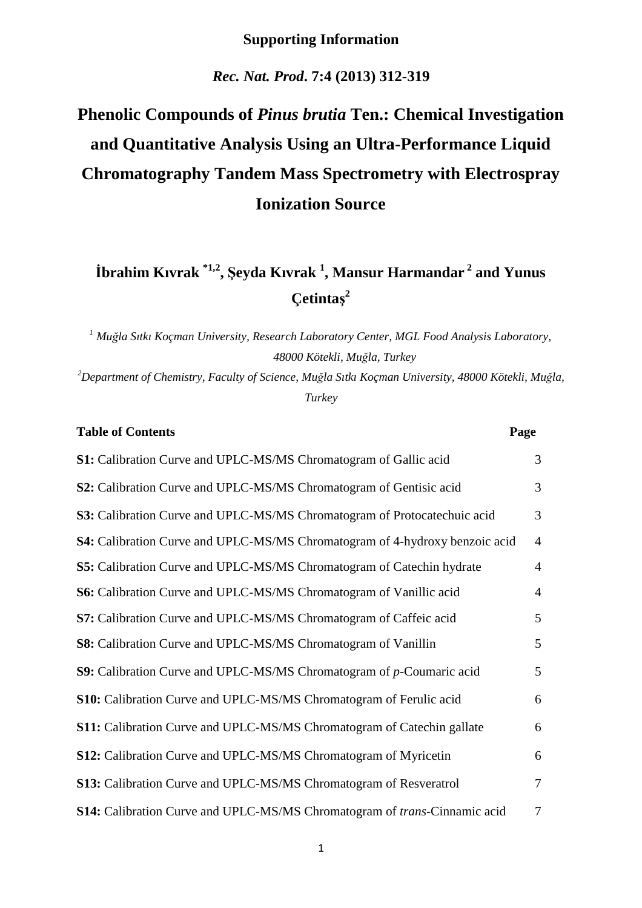## **Supporting Information**

*Rec. Nat. Prod***. 7:4 (2013) 312-319** 

## **Phenolic Compounds of** *Pinus brutia* **Ten.: Chemical Investigation and Quantitative Analysis Using an Ultra-Performance Liquid Chromatography Tandem Mass Spectrometry with Electrospray Ionization Source**

## **İbrahim Kıvrak \*1,2 , Şeyda Kıvrak <sup>1</sup> , Mansur Harmandar<sup>2</sup> and Yunus Çetintaş 2**

*<sup>1</sup> Muğla Sıtkı Koçman University, Research Laboratory Center, MGL Food Analysis Laboratory, 48000 Kötekli, Muğla, Turkey*

*<sup>2</sup>Department of Chemistry, Faculty of Science, Muğla Sıtkı Koçman University, 48000 Kötekli, Muğla, Turkey* 

| <b>Table of Contents</b>                                                          | Page           |
|-----------------------------------------------------------------------------------|----------------|
| S1: Calibration Curve and UPLC-MS/MS Chromatogram of Gallic acid                  | 3              |
| S2: Calibration Curve and UPLC-MS/MS Chromatogram of Gentisic acid                | 3              |
| S3: Calibration Curve and UPLC-MS/MS Chromatogram of Protocatechuic acid          | 3              |
| S4: Calibration Curve and UPLC-MS/MS Chromatogram of 4-hydroxy benzoic acid       | $\overline{4}$ |
| S5: Calibration Curve and UPLC-MS/MS Chromatogram of Catechin hydrate             | $\overline{4}$ |
| S6: Calibration Curve and UPLC-MS/MS Chromatogram of Vanillic acid                | $\overline{4}$ |
| S7: Calibration Curve and UPLC-MS/MS Chromatogram of Caffeic acid                 | 5              |
| S8: Calibration Curve and UPLC-MS/MS Chromatogram of Vanillin                     | $\mathfrak{S}$ |
| S9: Calibration Curve and UPLC-MS/MS Chromatogram of p-Coumaric acid              | 5              |
| S10: Calibration Curve and UPLC-MS/MS Chromatogram of Ferulic acid                | 6              |
| S11: Calibration Curve and UPLC-MS/MS Chromatogram of Catechin gallate            | 6              |
| S12: Calibration Curve and UPLC-MS/MS Chromatogram of Myricetin                   | 6              |
| S13: Calibration Curve and UPLC-MS/MS Chromatogram of Resveratrol                 | $\overline{7}$ |
| S14: Calibration Curve and UPLC-MS/MS Chromatogram of <i>trans</i> -Cinnamic acid | $\overline{7}$ |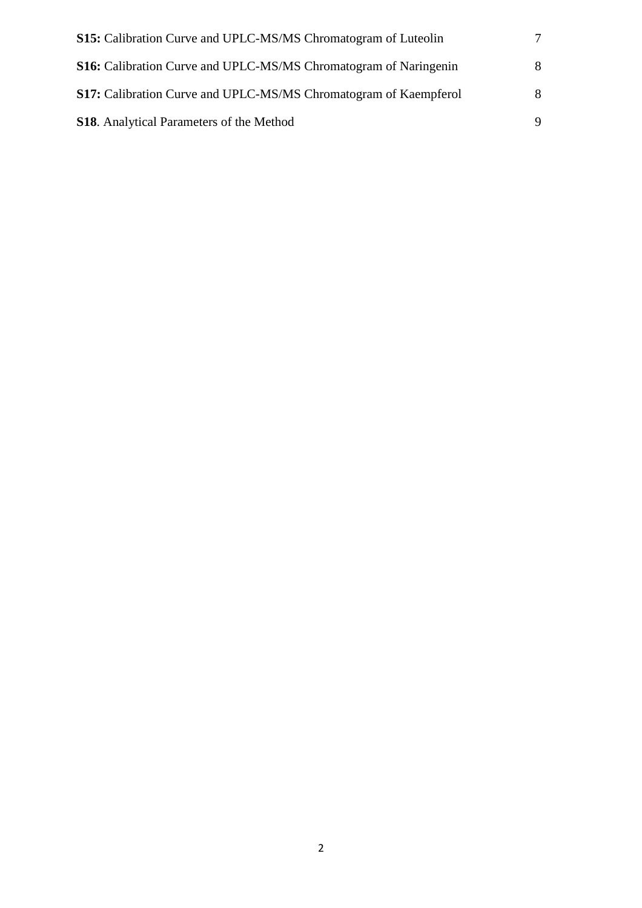| <b>S15:</b> Calibration Curve and UPLC-MS/MS Chromatogram of Luteolin   |   |
|-------------------------------------------------------------------------|---|
| <b>S16:</b> Calibration Curve and UPLC-MS/MS Chromatogram of Naringenin | 8 |
| S17: Calibration Curve and UPLC-MS/MS Chromatogram of Kaempferol        | 8 |
| <b>S18.</b> Analytical Parameters of the Method                         |   |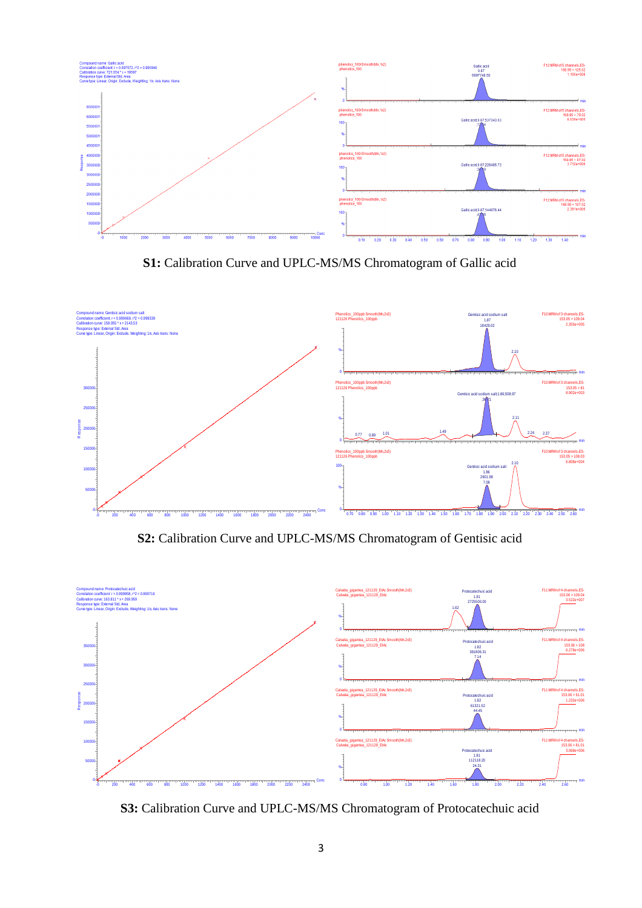

**S1:** Calibration Curve and UPLC-MS/MS Chromatogram of Gallic acid



**S2:** Calibration Curve and UPLC-MS/MS Chromatogram of Gentisic acid



**S3:** Calibration Curve and UPLC-MS/MS Chromatogram of Protocatechuic acid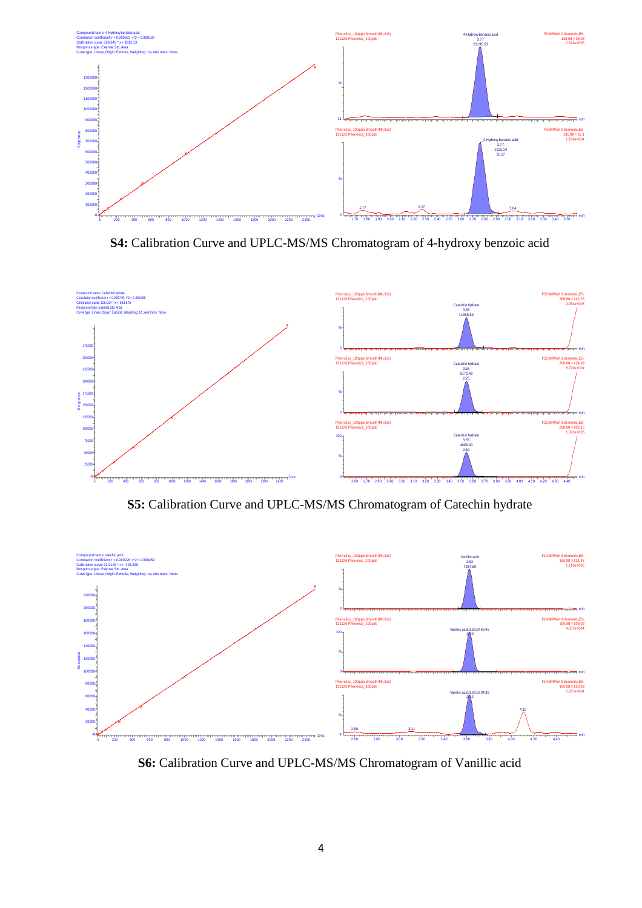

**S4:** Calibration Curve and UPLC-MS/MS Chromatogram of 4-hydroxy benzoic acid



**S5:** Calibration Curve and UPLC-MS/MS Chromatogram of Catechin hydrate



**S6:** Calibration Curve and UPLC-MS/MS Chromatogram of Vanillic acid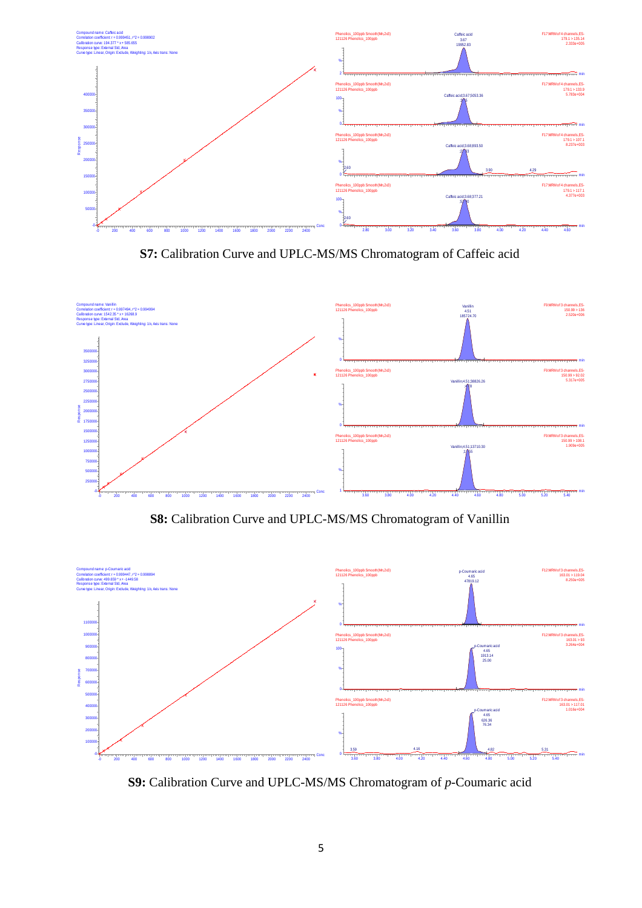

**S7:** Calibration Curve and UPLC-MS/MS Chromatogram of Caffeic acid



**S8:** Calibration Curve and UPLC-MS/MS Chromatogram of Vanillin



**S9:** Calibration Curve and UPLC-MS/MS Chromatogram of *p*-Coumaric acid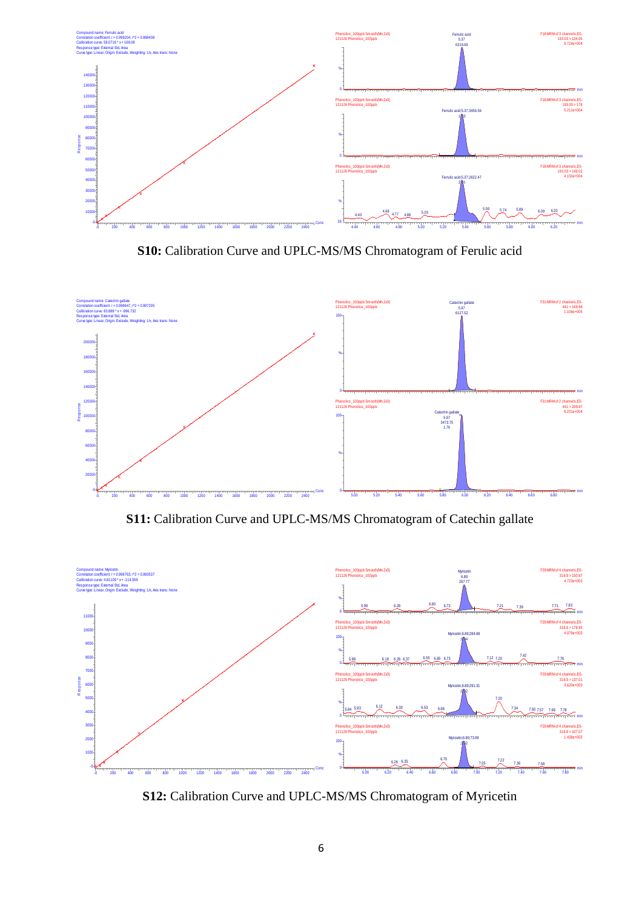

**S10:** Calibration Curve and UPLC-MS/MS Chromatogram of Ferulic acid



**S11:** Calibration Curve and UPLC-MS/MS Chromatogram of Catechin gallate



**S12:** Calibration Curve and UPLC-MS/MS Chromatogram of Myricetin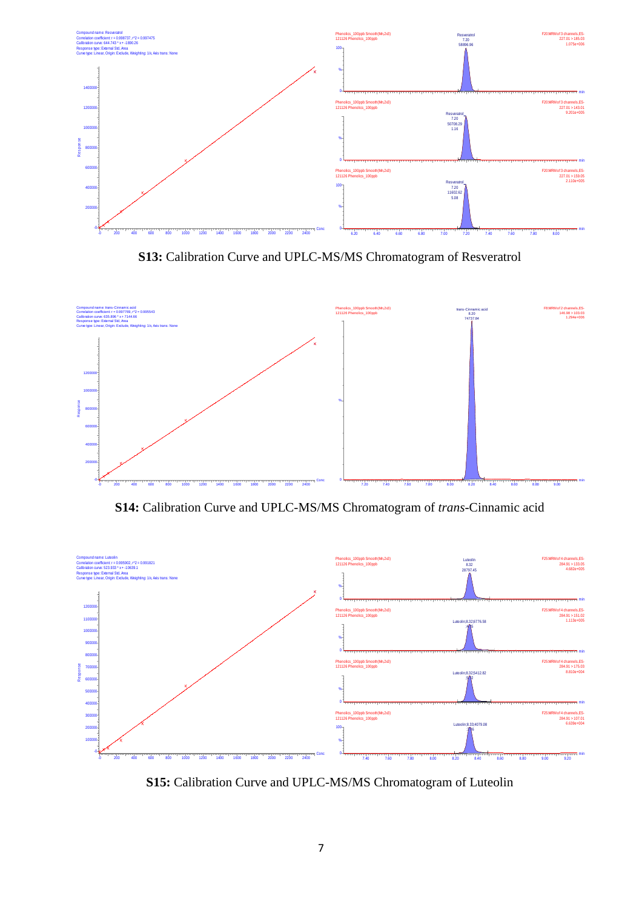

**S13:** Calibration Curve and UPLC-MS/MS Chromatogram of Resveratrol



**S14:** Calibration Curve and UPLC-MS/MS Chromatogram of *trans*-Cinnamic acid



**S15:** Calibration Curve and UPLC-MS/MS Chromatogram of Luteolin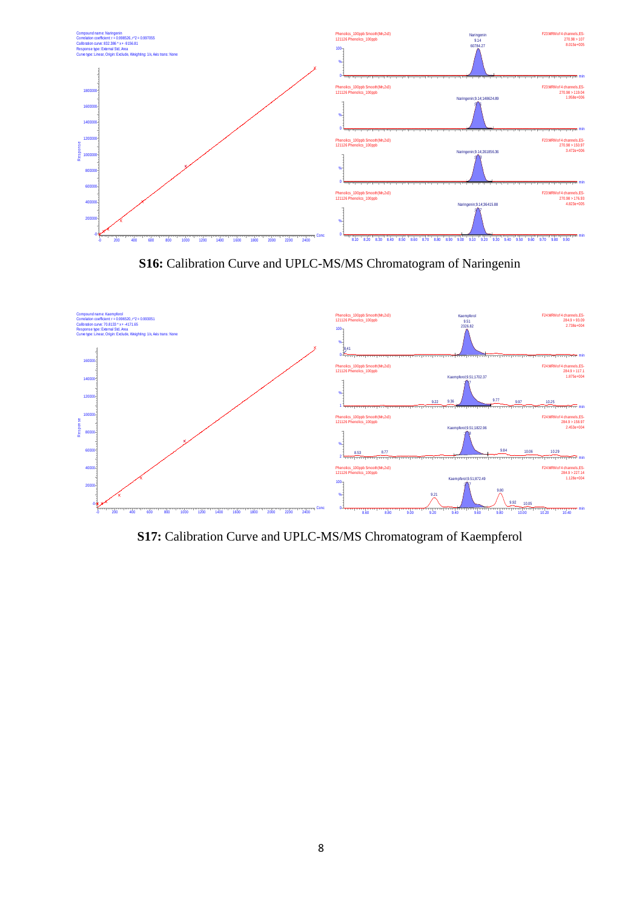

**S16:** Calibration Curve and UPLC-MS/MS Chromatogram of Naringenin



**S17:** Calibration Curve and UPLC-MS/MS Chromatogram of Kaempferol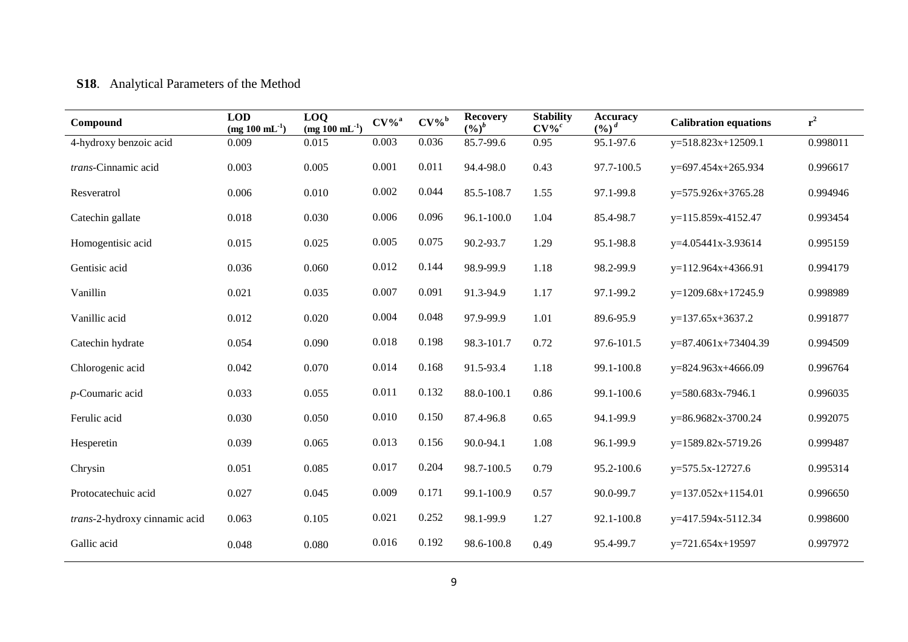## **S18**. Analytical Parameters of the Method

| Compound                      | <b>LOD</b><br>(mg $100 \text{ mL}^{-1}$ ) | LOQ<br>$\frac{(mg 100 \text{ mL}^{-1})}{(mg 100 \text{ mL}^{-1})}$ | $CV\%$ <sup>a</sup> | $CV\%$ <sup>b</sup> | <b>Recovery</b><br>$(9/0)^b$ | <b>Stability</b><br>$CV\%^c$ | <b>Accuracy</b><br>$(9/0)^d$ | <b>Calibration equations</b> | $r^2$    |
|-------------------------------|-------------------------------------------|--------------------------------------------------------------------|---------------------|---------------------|------------------------------|------------------------------|------------------------------|------------------------------|----------|
| 4-hydroxy benzoic acid        | 0.009                                     | 0.015                                                              | 0.003               | 0.036               | 85.7-99.6                    | 0.95                         | 95.1-97.6                    | $y=518.823x+12509.1$         | 0.998011 |
| trans-Cinnamic acid           | 0.003                                     | 0.005                                                              | 0.001               | 0.011               | 94.4-98.0                    | 0.43                         | 97.7-100.5                   | y=697.454x+265.934           | 0.996617 |
| Resveratrol                   | 0.006                                     | 0.010                                                              | 0.002               | 0.044               | 85.5-108.7                   | 1.55                         | 97.1-99.8                    | $y=575.926x+3765.28$         | 0.994946 |
| Catechin gallate              | 0.018                                     | 0.030                                                              | 0.006               | 0.096               | 96.1-100.0                   | 1.04                         | 85.4-98.7                    | y=115.859x-4152.47           | 0.993454 |
| Homogentisic acid             | 0.015                                     | 0.025                                                              | 0.005               | 0.075               | 90.2-93.7                    | 1.29                         | 95.1-98.8                    | y=4.05441x-3.93614           | 0.995159 |
| Gentisic acid                 | 0.036                                     | 0.060                                                              | 0.012               | 0.144               | 98.9-99.9                    | 1.18                         | 98.2-99.9                    | $y=112.964x+4366.91$         | 0.994179 |
| Vanillin                      | 0.021                                     | 0.035                                                              | 0.007               | 0.091               | 91.3-94.9                    | 1.17                         | 97.1-99.2                    | $y=1209.68x+17245.9$         | 0.998989 |
| Vanillic acid                 | 0.012                                     | 0.020                                                              | 0.004               | 0.048               | 97.9-99.9                    | 1.01                         | 89.6-95.9                    | $y=137.65x+3637.2$           | 0.991877 |
| Catechin hydrate              | 0.054                                     | 0.090                                                              | 0.018               | 0.198               | 98.3-101.7                   | 0.72                         | 97.6-101.5                   | y=87.4061x+73404.39          | 0.994509 |
| Chlorogenic acid              | 0.042                                     | 0.070                                                              | 0.014               | 0.168               | 91.5-93.4                    | 1.18                         | 99.1-100.8                   | $y=824.963x+4666.09$         | 0.996764 |
| $p$ -Coumaric acid            | 0.033                                     | 0.055                                                              | 0.011               | 0.132               | 88.0-100.1                   | 0.86                         | 99.1-100.6                   | y=580.683x-7946.1            | 0.996035 |
| Ferulic acid                  | 0.030                                     | 0.050                                                              | 0.010               | 0.150               | 87.4-96.8                    | 0.65                         | 94.1-99.9                    | y=86.9682x-3700.24           | 0.992075 |
| Hesperetin                    | 0.039                                     | 0.065                                                              | 0.013               | 0.156               | 90.0-94.1                    | 1.08                         | 96.1-99.9                    | y=1589.82x-5719.26           | 0.999487 |
| Chrysin                       | 0.051                                     | 0.085                                                              | 0.017               | 0.204               | 98.7-100.5                   | 0.79                         | 95.2-100.6                   | $y=575.5x-12727.6$           | 0.995314 |
| Protocatechuic acid           | 0.027                                     | 0.045                                                              | 0.009               | 0.171               | 99.1-100.9                   | 0.57                         | 90.0-99.7                    | $y=137.052x+1154.01$         | 0.996650 |
| trans-2-hydroxy cinnamic acid | 0.063                                     | 0.105                                                              | 0.021               | 0.252               | 98.1-99.9                    | 1.27                         | 92.1-100.8                   | y=417.594x-5112.34           | 0.998600 |
| Gallic acid                   | 0.048                                     | 0.080                                                              | 0.016               | 0.192               | 98.6-100.8                   | 0.49                         | 95.4-99.7                    | $y=721.654x+19597$           | 0.997972 |